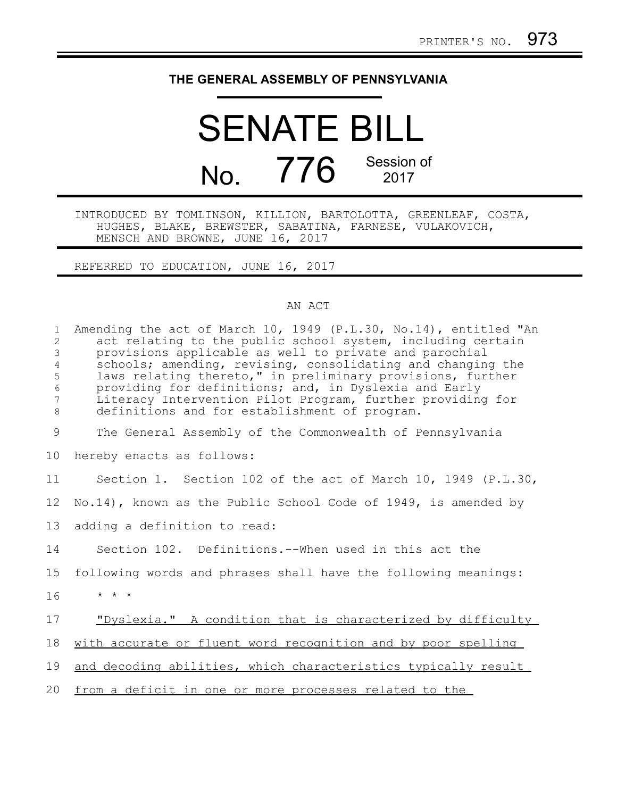## **THE GENERAL ASSEMBLY OF PENNSYLVANIA**

## SENATE BILL No. 776 Session of 2017

## INTRODUCED BY TOMLINSON, KILLION, BARTOLOTTA, GREENLEAF, COSTA, HUGHES, BLAKE, BREWSTER, SABATINA, FARNESE, VULAKOVICH, MENSCH AND BROWNE, JUNE 16, 2017

REFERRED TO EDUCATION, JUNE 16, 2017

## AN ACT

| $\mathbf{1}$<br>2<br>$\mathfrak{Z}$<br>$\overline{4}$<br>5<br>$\epsilon$<br>$7\overline{ }$<br>$8\,$ | Amending the act of March 10, 1949 (P.L.30, No.14), entitled "An<br>act relating to the public school system, including certain<br>provisions applicable as well to private and parochial<br>schools; amending, revising, consolidating and changing the<br>laws relating thereto," in preliminary provisions, further<br>providing for definitions; and, in Dyslexia and Early<br>Literacy Intervention Pilot Program, further providing for<br>definitions and for establishment of program. |
|------------------------------------------------------------------------------------------------------|------------------------------------------------------------------------------------------------------------------------------------------------------------------------------------------------------------------------------------------------------------------------------------------------------------------------------------------------------------------------------------------------------------------------------------------------------------------------------------------------|
| 9                                                                                                    | The General Assembly of the Commonwealth of Pennsylvania                                                                                                                                                                                                                                                                                                                                                                                                                                       |
| 10                                                                                                   | hereby enacts as follows:                                                                                                                                                                                                                                                                                                                                                                                                                                                                      |
| 11                                                                                                   | Section 1. Section 102 of the act of March 10, 1949 (P.L.30,                                                                                                                                                                                                                                                                                                                                                                                                                                   |
| 12                                                                                                   | No.14), known as the Public School Code of 1949, is amended by                                                                                                                                                                                                                                                                                                                                                                                                                                 |
| 13                                                                                                   | adding a definition to read:                                                                                                                                                                                                                                                                                                                                                                                                                                                                   |
| 14                                                                                                   | Section 102. Definitions.--When used in this act the                                                                                                                                                                                                                                                                                                                                                                                                                                           |
| 15                                                                                                   | following words and phrases shall have the following meanings:                                                                                                                                                                                                                                                                                                                                                                                                                                 |
| 16                                                                                                   | $\star$ $\star$ $\star$                                                                                                                                                                                                                                                                                                                                                                                                                                                                        |
| 17                                                                                                   | "Dyslexia." A condition that is characterized by difficulty                                                                                                                                                                                                                                                                                                                                                                                                                                    |
| 18                                                                                                   | with accurate or fluent word recognition and by poor spelling                                                                                                                                                                                                                                                                                                                                                                                                                                  |
| 19                                                                                                   | and decoding abilities, which characteristics typically result                                                                                                                                                                                                                                                                                                                                                                                                                                 |
| 20                                                                                                   | from a deficit in one or more processes related to the                                                                                                                                                                                                                                                                                                                                                                                                                                         |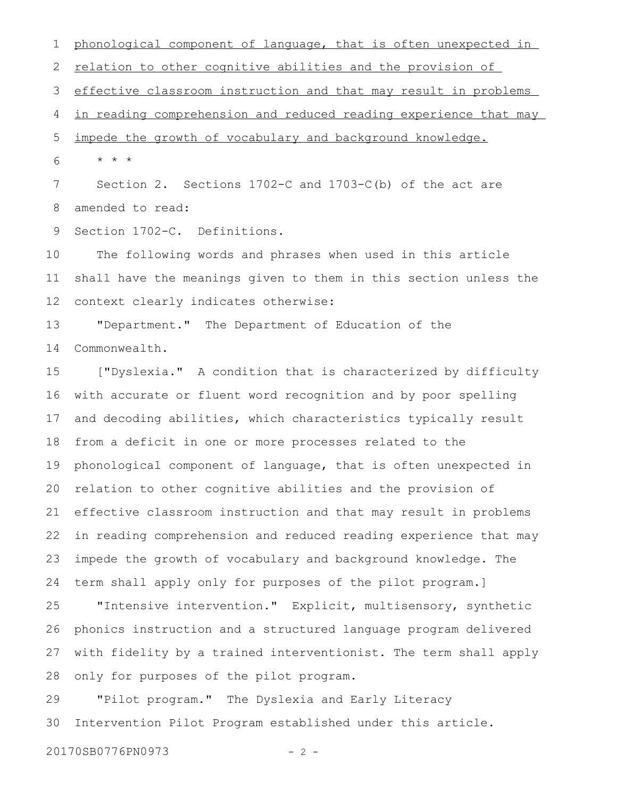phonological component of language, that is often unexpected in relation to other cognitive abilities and the provision of effective classroom instruction and that may result in problems in reading comprehension and reduced reading experience that may impede the growth of vocabulary and background knowledge. \* \* \* Section 2. Sections 1702-C and 1703-C(b) of the act are amended to read: 1 2 3 4 5 6 7 8

Section 1702-C. Definitions. 9

The following words and phrases when used in this article shall have the meanings given to them in this section unless the context clearly indicates otherwise: 10 11 12

"Department." The Department of Education of the Commonwealth. 13 14

["Dyslexia." A condition that is characterized by difficulty with accurate or fluent word recognition and by poor spelling and decoding abilities, which characteristics typically result from a deficit in one or more processes related to the phonological component of language, that is often unexpected in relation to other cognitive abilities and the provision of effective classroom instruction and that may result in problems in reading comprehension and reduced reading experience that may impede the growth of vocabulary and background knowledge. The term shall apply only for purposes of the pilot program.] 15 16 17 18 19 20 21 22 23 24

"Intensive intervention." Explicit, multisensory, synthetic phonics instruction and a structured language program delivered with fidelity by a trained interventionist. The term shall apply only for purposes of the pilot program. 25 26 27 28

"Pilot program." The Dyslexia and Early Literacy Intervention Pilot Program established under this article. 29 30

20170SB0776PN0973 - 2 -